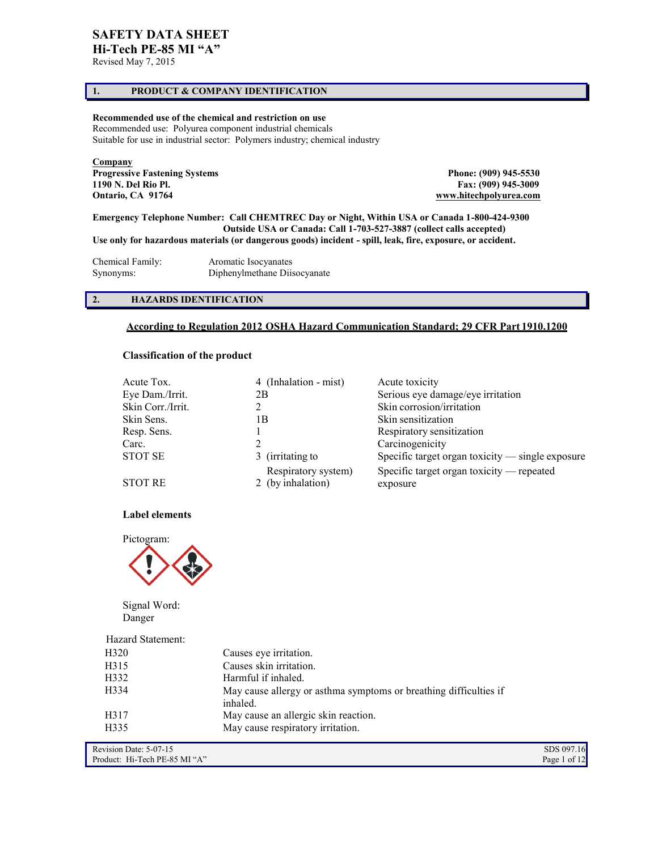# **SAFETY DATA SHEET**

**Hi-Tech PE-85 MI "A"**

# Revised May 7, 2015

# **1. PRODUCT & COMPANY IDENTIFICATION**

# **Recommended use of the chemical and restriction on use**

Recommended use: Polyurea component industrial chemicals Suitable for use in industrial sector: Polymers industry; chemical industry

**Company Progressive Fastening Systems 2009 945-5530** Phone: (909) 945-5530 **1190 N. Del Rio Pl. Fax: (909) 945-3009 Ontario, CA 91764 [www.hitechpolyurea.com](http://www.hitechpolyurea.com/)** 

**Emergency Telephone Number: Call CHEMTREC Day or Night, Within USA or Canada 1-800-424-9300 Outside USA or Canada: Call 1-703-527-3887 (collect calls accepted) Use only for hazardous materials (or dangerous goods) incident - spill, leak, fire, exposure, or accident.** 

| Chemical Family: | Aromatic Isocyanates         |
|------------------|------------------------------|
| Synonyms:        | Diphenylmethane Diisocyanate |

# **2. HAZARDS IDENTIFICATION**

# **According to Regulation 2012 OSHA Hazard Communication Standard; 29 CFR Part 1910.1200**

# **Classification of the product**

| Acute Tox.        | 4 (Inhalation - mist)                    | Acute toxicity                                        |
|-------------------|------------------------------------------|-------------------------------------------------------|
| Eye Dam./Irrit.   | 2В                                       | Serious eye damage/eye irritation                     |
| Skin Corr./Irrit. |                                          | Skin corrosion/irritation                             |
| Skin Sens.        | l B                                      | Skin sensitization                                    |
| Resp. Sens.       |                                          | Respiratory sensitization                             |
| Carc.             |                                          | Carcinogenicity                                       |
| <b>STOT SE</b>    | 3 (irritating to                         | Specific target organ toxicity $-$ single exposure    |
| <b>STOT RE</b>    | Respiratory system)<br>2 (by inhalation) | Specific target organ toxicity — repeated<br>exposure |

### **Label elements**



Signal Word: Danger

| Hazard Statement: |                                                                               |
|-------------------|-------------------------------------------------------------------------------|
| H <sub>320</sub>  | Causes eye irritation.                                                        |
| H315              | Causes skin irritation.                                                       |
| H332              | Harmful if inhaled.                                                           |
| H334              | May cause allergy or asthma symptoms or breathing difficulties if<br>inhaled. |
| H317              | May cause an allergic skin reaction.                                          |
| H335              | May cause respiratory irritation.                                             |

Revision Date: 5-07-15 SDS 097.16<br>Product: Hi-Tech PE-85 MI "A" Page 1 of 12 Product: Hi-Tech PE-85 MI "A"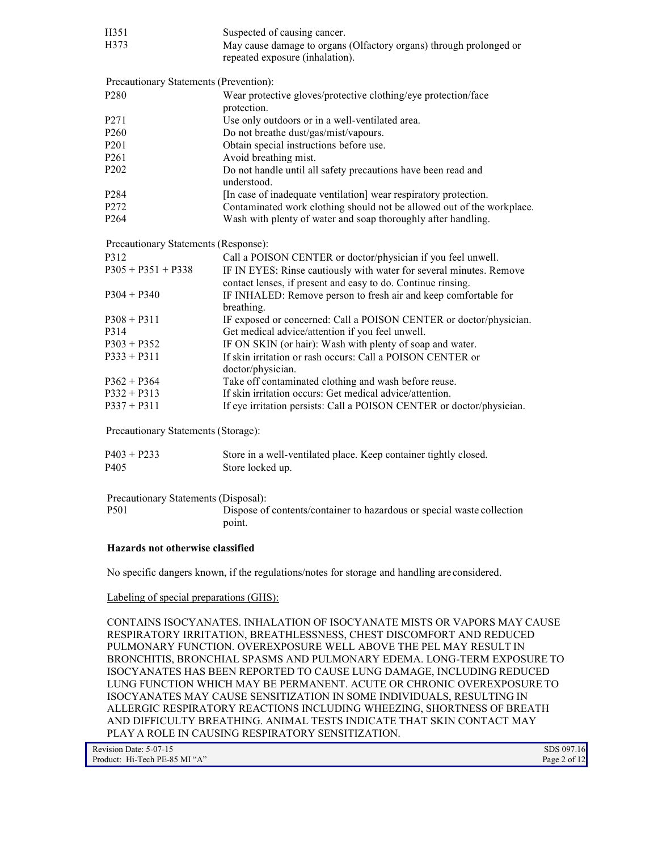| H351                                   | Suspected of causing cancer.                                                                                                        |  |
|----------------------------------------|-------------------------------------------------------------------------------------------------------------------------------------|--|
| H373                                   | May cause damage to organs (Olfactory organs) through prolonged or<br>repeated exposure (inhalation).                               |  |
| Precautionary Statements (Prevention): |                                                                                                                                     |  |
| P <sub>280</sub>                       | Wear protective gloves/protective clothing/eye protection/face<br>protection.                                                       |  |
| P <sub>271</sub>                       | Use only outdoors or in a well-ventilated area.                                                                                     |  |
| P <sub>260</sub>                       | Do not breathe dust/gas/mist/vapours.                                                                                               |  |
| P <sub>201</sub>                       | Obtain special instructions before use.                                                                                             |  |
| P <sub>261</sub>                       | Avoid breathing mist.                                                                                                               |  |
| P <sub>202</sub>                       | Do not handle until all safety precautions have been read and<br>understood.                                                        |  |
| P <sub>284</sub>                       | [In case of inadequate ventilation] wear respiratory protection.                                                                    |  |
| P272                                   | Contaminated work clothing should not be allowed out of the workplace.                                                              |  |
| P <sub>264</sub>                       | Wash with plenty of water and soap thoroughly after handling.                                                                       |  |
| Precautionary Statements (Response):   |                                                                                                                                     |  |
| P312                                   | Call a POISON CENTER or doctor/physician if you feel unwell.                                                                        |  |
| $P305 + P351 + P338$                   | IF IN EYES: Rinse cautiously with water for several minutes. Remove<br>contact lenses, if present and easy to do. Continue rinsing. |  |
| $P304 + P340$                          | IF INHALED: Remove person to fresh air and keep comfortable for<br>breathing.                                                       |  |
| $P308 + P311$                          | IF exposed or concerned: Call a POISON CENTER or doctor/physician.                                                                  |  |
| P314                                   | Get medical advice/attention if you feel unwell.                                                                                    |  |
| $P303 + P352$                          | IF ON SKIN (or hair): Wash with plenty of soap and water.                                                                           |  |
| $P333 + P311$                          | If skin irritation or rash occurs: Call a POISON CENTER or<br>doctor/physician.                                                     |  |
| $P362 + P364$                          | Take off contaminated clothing and wash before reuse.                                                                               |  |
| $P332 + P313$                          | If skin irritation occurs: Get medical advice/attention.                                                                            |  |
| $P337 + P311$                          | If eye irritation persists: Call a POISON CENTER or doctor/physician.                                                               |  |

Precautionary Statements (Storage):

| $P403 + P233$    | Store in a well-ventilated place. Keep container tightly closed. |
|------------------|------------------------------------------------------------------|
| P <sub>405</sub> | Store locked up.                                                 |

Precautionary Statements (Disposal): P501 Dispose of contents/container to hazardous or special waste collection point.

# **Hazards not otherwise classified**

No specific dangers known, if the regulations/notes for storage and handling are considered.

# Labeling of special preparations (GHS):

CONTAINS ISOCYANATES. INHALATION OF ISOCYANATE MISTS OR VAPORS MAY CAUSE RESPIRATORY IRRITATION, BREATHLESSNESS, CHEST DISCOMFORT AND REDUCED PULMONARY FUNCTION. OVEREXPOSURE WELL ABOVE THE PEL MAY RESULT IN BRONCHITIS, BRONCHIAL SPASMS AND PULMONARY EDEMA. LONG-TERM EXPOSURE TO ISOCYANATES HAS BEEN REPORTED TO CAUSE LUNG DAMAGE, INCLUDING REDUCED LUNG FUNCTION WHICH MAY BE PERMANENT. ACUTE OR CHRONIC OVEREXPOSURE TO ISOCYANATES MAY CAUSE SENSITIZATION IN SOME INDIVIDUALS, RESULTING IN ALLERGIC RESPIRATORY REACTIONS INCLUDING WHEEZING, SHORTNESS OF BREATH AND DIFFICULTY BREATHING. ANIMAL TESTS INDICATE THAT SKIN CONTACT MAY PLAY A ROLE IN CAUSING RESPIRATORY SENSITIZATION.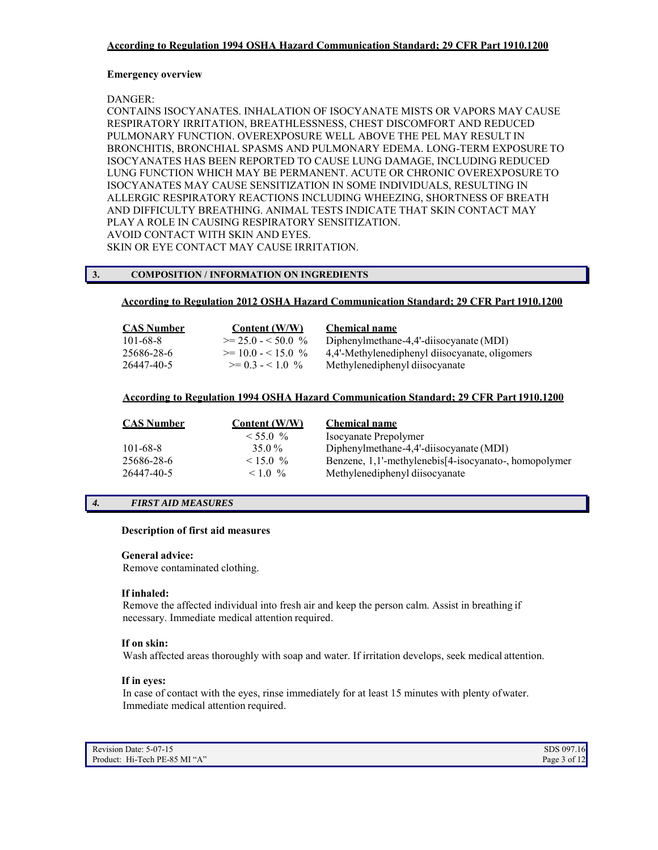# **Emergency overview**

DANGER:

CONTAINS ISOCYANATES. INHALATION OF ISOCYANATE MISTS OR VAPORS MAY CAUSE RESPIRATORY IRRITATION, BREATHLESSNESS, CHEST DISCOMFORT AND REDUCED PULMONARY FUNCTION. OVEREXPOSURE WELL ABOVE THE PEL MAY RESULT IN BRONCHITIS, BRONCHIAL SPASMS AND PULMONARY EDEMA. LONG-TERM EXPOSURE TO ISOCYANATES HAS BEEN REPORTED TO CAUSE LUNG DAMAGE, INCLUDING REDUCED LUNG FUNCTION WHICH MAY BE PERMANENT. ACUTE OR CHRONIC OVEREXPOSURE TO ISOCYANATES MAY CAUSE SENSITIZATION IN SOME INDIVIDUALS, RESULTING IN ALLERGIC RESPIRATORY REACTIONS INCLUDING WHEEZING, SHORTNESS OF BREATH AND DIFFICULTY BREATHING. ANIMAL TESTS INDICATE THAT SKIN CONTACT MAY PLAY A ROLE IN CAUSING RESPIRATORY SENSITIZATION. AVOID CONTACT WITH SKIN AND EYES. SKIN OR EYE CONTACT MAY CAUSE IRRITATION.

# **3. COMPOSITION / INFORMATION ON INGREDIENTS**

# **According to Regulation 2012 OSHA Hazard Communication Standard; 29 CFR Part 1910.1200**

| CAS Number     | Content (W/W)             | <b>Chemical name</b>                           |
|----------------|---------------------------|------------------------------------------------|
| $101 - 68 - 8$ | $\geq$ 25.0 - < 50.0 $\%$ | Diphenylmethane-4,4'-diisocyanate (MDI)        |
| 25686-28-6     | $\geq$ 10.0 - < 15.0 %    | 4,4'-Methylenediphenyl diisocyanate, oligomers |
| 26447-40-5     | $\geq$ 0 3 - < 1 0 $\%$   | Methylenediphenyl diisocyanate                 |

# **According to Regulation 1994 OSHA Hazard Communication Standard; 29 CFR Part 1910.1200**

| <b>CAS Number</b> | Content $(W/W)$ | <b>Chemical name</b>                                  |
|-------------------|-----------------|-------------------------------------------------------|
|                   | $\leq 55.0 \%$  | Isocyanate Prepolymer                                 |
| $101 - 68 - 8$    | $35.0\%$        | Diphenylmethane-4,4'-diisocyanate (MDI)               |
| 25686-28-6        | $< 15.0\%$      | Benzene, 1,1'-methylenebis[4-isocyanato-, homopolymer |
| 26447-40-5        | $10\%$          | Methylenediphenyl diisocyanate                        |

# *4. FIRST AID MEASURES*

# **Description of first aid measures**

# **General advice:**

Remove contaminated clothing.

#### **If inhaled:**

Remove the affected individual into fresh air and keep the person calm. Assist in breathing if necessary. Immediate medical attention required.

# **If on skin:**

Wash affected areas thoroughly with soap and water. If irritation develops, seek medical attention.

# **If in eyes:**

In case of contact with the eyes, rinse immediately for at least 15 minutes with plenty of water. Immediate medical attention required.

Revision Date: 5-07-15 SDS 097.16<br>Product: Hi-Tech PE-85 MI "A" Page 3 of 12 Product: Hi-Tech PE-85 MI "A"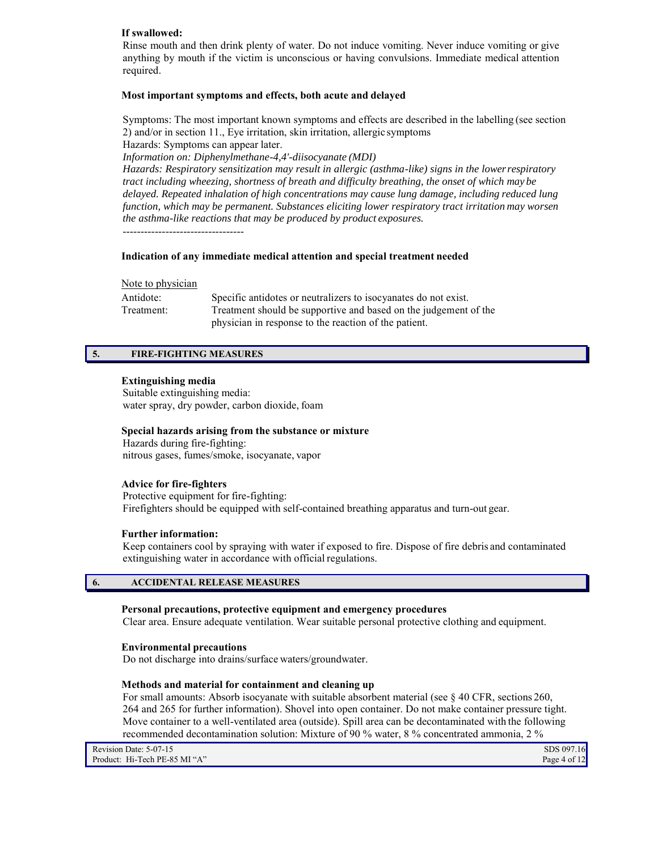# **If swallowed:**

Rinse mouth and then drink plenty of water. Do not induce vomiting. Never induce vomiting or give anything by mouth if the victim is unconscious or having convulsions. Immediate medical attention required.

# **Most important symptoms and effects, both acute and delayed**

Symptoms: The most important known symptoms and effects are described in the labelling (see section 2) and/or in section 11., Eye irritation, skin irritation, allergic symptoms Hazards: Symptoms can appear later. *Information on: Diphenylmethane-4,4'-diisocyanate (MDI) Hazards: Respiratory sensitization may result in allergic (asthma-like) signs in the lower respiratory tract including wheezing, shortness of breath and difficulty breathing, the onset of which may be delayed. Repeated inhalation of high concentrations may cause lung damage, including reduced lung function, which may be permanent. Substances eliciting lower respiratory tract irritation may worsen the asthma-like reactions that may be produced by product exposures.*

----------------------------------

# **Indication of any immediate medical attention and special treatment needed**

# Note to physician

| Antidote:  | Specific antidotes or neutralizers to isocyanates do not exist.  |
|------------|------------------------------------------------------------------|
| Treatment: | Treatment should be supportive and based on the judgement of the |
|            | physician in response to the reaction of the patient.            |

# **5. FIRE-FIGHTING MEASURES**

# **Extinguishing media**

Suitable extinguishing media: water spray, dry powder, carbon dioxide, foam

# **Special hazards arising from the substance or mixture**

Hazards during fire-fighting: nitrous gases, fumes/smoke, isocyanate, vapor

## **Advice for fire-fighters**

Protective equipment for fire-fighting: Firefighters should be equipped with self-contained breathing apparatus and turn-out gear.

# **Further information:**

Keep containers cool by spraying with water if exposed to fire. Dispose of fire debris and contaminated extinguishing water in accordance with official regulations.

# **6. ACCIDENTAL RELEASE MEASURES**

### **Personal precautions, protective equipment and emergency procedures**

Clear area. Ensure adequate ventilation. Wear suitable personal protective clothing and equipment.

#### **Environmental precautions**

Do not discharge into drains/surface waters/groundwater.

## **Methods and material for containment and cleaning up**

For small amounts: Absorb isocyanate with suitable absorbent material (see § 40 CFR, sections 260, 264 and 265 for further information). Shovel into open container. Do not make container pressure tight. Move container to a well-ventilated area (outside). Spill area can be decontaminated with the following recommended decontamination solution: Mixture of 90 % water, 8 % concentrated ammonia, 2 %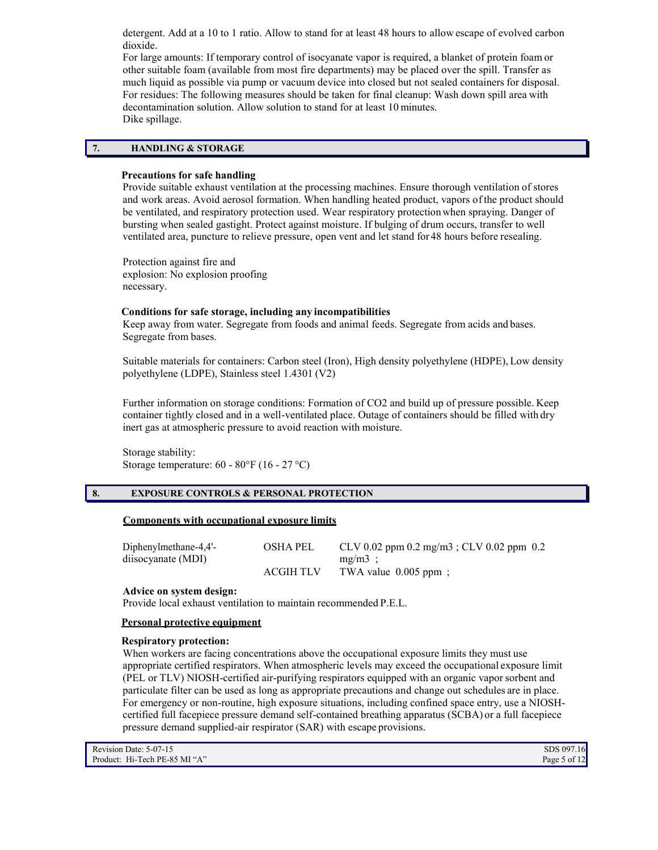detergent. Add at a 10 to 1 ratio. Allow to stand for at least 48 hours to allow escape of evolved carbon dioxide.

For large amounts: If temporary control of isocyanate vapor is required, a blanket of protein foam or other suitable foam (available from most fire departments) may be placed over the spill. Transfer as much liquid as possible via pump or vacuum device into closed but not sealed containers for disposal. For residues: The following measures should be taken for final cleanup: Wash down spill area with decontamination solution. Allow solution to stand for at least 10 minutes. Dike spillage.

# **7. HANDLING & STORAGE**

#### **Precautions for safe handling**

Provide suitable exhaust ventilation at the processing machines. Ensure thorough ventilation of stores and work areas. Avoid aerosol formation. When handling heated product, vapors of the product should be ventilated, and respiratory protection used. Wear respiratory protection when spraying. Danger of bursting when sealed gastight. Protect against moisture. If bulging of drum occurs, transfer to well ventilated area, puncture to relieve pressure, open vent and let stand for 48 hours before resealing.

Protection against fire and explosion: No explosion proofing necessary.

#### **Conditions for safe storage, including any incompatibilities**

Keep away from water. Segregate from foods and animal feeds. Segregate from acids and bases. Segregate from bases.

Suitable materials for containers: Carbon steel (Iron), High density polyethylene (HDPE), Low density polyethylene (LDPE), Stainless steel 1.4301 (V2)

Further information on storage conditions: Formation of CO2 and build up of pressure possible. Keep container tightly closed and in a well-ventilated place. Outage of containers should be filled with dry inert gas at atmospheric pressure to avoid reaction with moisture.

Storage stability: Storage temperature: 60 - 80°F (16 - 27 °C)

# **8. EXPOSURE CONTROLS & PERSONAL PROTECTION**

#### **Components with occupational exposure limits**

| Diphenylmethane-4,4'- | <b>OSHA PEL</b>  | CLV 0.02 ppm 0.2 mg/m3; CLV 0.02 ppm 0.2 |
|-----------------------|------------------|------------------------------------------|
| diisocyanate (MDI)    |                  | $mg/m3$ :                                |
|                       | <b>ACGIH TLV</b> | TWA value $0.005$ ppm;                   |

#### **Advice on system design:**

Provide local exhaust ventilation to maintain recommended P.E.L.

#### **Personal protective equipment**

#### **Respiratory protection:**

When workers are facing concentrations above the occupational exposure limits they must use appropriate certified respirators. When atmospheric levels may exceed the occupational exposure limit (PEL or TLV) NIOSH-certified air-purifying respirators equipped with an organic vapor sorbent and particulate filter can be used as long as appropriate precautions and change out schedules are in place. For emergency or non-routine, high exposure situations, including confined space entry, use a NIOSHcertified full facepiece pressure demand self-contained breathing apparatus (SCBA) or a full facepiece pressure demand supplied-air respirator (SAR) with escape provisions.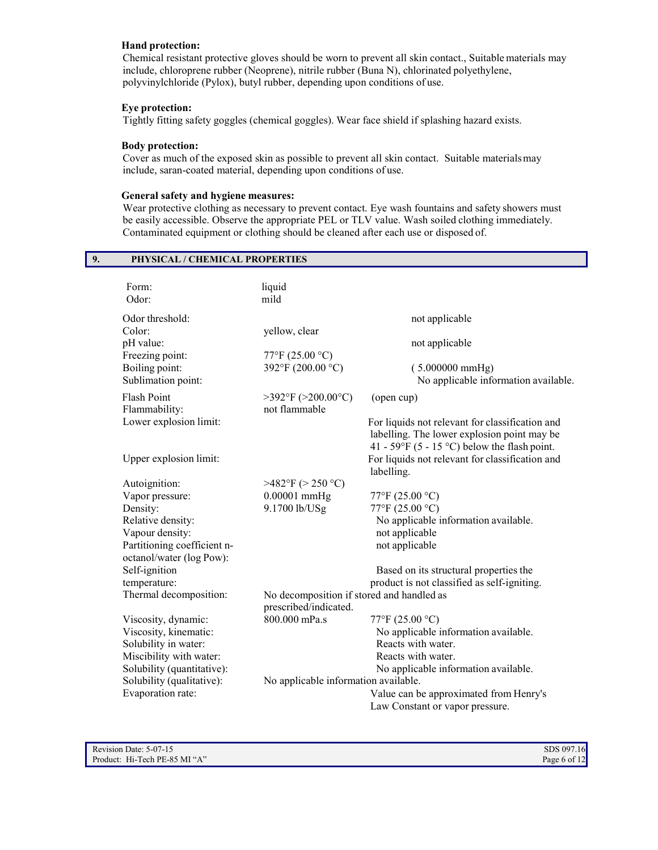# **Hand protection:**

Chemical resistant protective gloves should be worn to prevent all skin contact., Suitable materials may include, chloroprene rubber (Neoprene), nitrile rubber (Buna N), chlorinated polyethylene, polyvinylchloride (Pylox), butyl rubber, depending upon conditions of use.

# **Eye protection:**

Tightly fitting safety goggles (chemical goggles). Wear face shield if splashing hazard exists.

# **Body protection:**

Cover as much of the exposed skin as possible to prevent all skin contact. Suitable materials may include, saran-coated material, depending upon conditions of use.

# **General safety and hygiene measures:**

**9. PHYSICAL / CHEMICAL PROPERTIES**

Wear protective clothing as necessary to prevent contact. Eye wash fountains and safety showers must be easily accessible. Observe the appropriate PEL or TLV value. Wash soiled clothing immediately. Contaminated equipment or clothing should be cleaned after each use or disposed of.

| Form:                                                   | liquid                                                             |                                                                                                                                                |
|---------------------------------------------------------|--------------------------------------------------------------------|------------------------------------------------------------------------------------------------------------------------------------------------|
| Odor:                                                   | mild                                                               |                                                                                                                                                |
| Odor threshold:                                         |                                                                    | not applicable                                                                                                                                 |
| Color:                                                  | yellow, clear                                                      |                                                                                                                                                |
| pH value:                                               |                                                                    | not applicable                                                                                                                                 |
| Freezing point:                                         | 77°F (25.00 °C)                                                    |                                                                                                                                                |
| Boiling point:                                          | 392°F (200.00 °C)                                                  | $(5.000000 \text{ mmHg})$                                                                                                                      |
| Sublimation point:                                      |                                                                    | No applicable information available.                                                                                                           |
| <b>Flash Point</b><br>Flammability:                     | $>392$ °F ( $>200.00$ °C)<br>not flammable                         | (open cup)                                                                                                                                     |
| Lower explosion limit:                                  |                                                                    | For liquids not relevant for classification and<br>labelling. The lower explosion point may be<br>41 - 59°F (5 - 15 °C) below the flash point. |
| Upper explosion limit:                                  |                                                                    | For liquids not relevant for classification and<br>labelling.                                                                                  |
| Autoignition:                                           | >482°F (> 250 °C)                                                  |                                                                                                                                                |
| Vapor pressure:                                         | $0.00001$ mmHg                                                     | 77°F (25.00 °C)                                                                                                                                |
| Density:                                                | 9.1700 lb/USg                                                      | 77°F (25.00 °C)                                                                                                                                |
| Relative density:                                       |                                                                    | No applicable information available.                                                                                                           |
| Vapour density:                                         |                                                                    | not applicable                                                                                                                                 |
| Partitioning coefficient n-<br>octanol/water (log Pow): |                                                                    | not applicable                                                                                                                                 |
| Self-ignition                                           |                                                                    | Based on its structural properties the                                                                                                         |
| temperature:                                            |                                                                    | product is not classified as self-igniting.                                                                                                    |
| Thermal decomposition:                                  | No decomposition if stored and handled as<br>prescribed/indicated. |                                                                                                                                                |
| Viscosity, dynamic:                                     | 800.000 mPa.s                                                      | 77°F (25.00 °C)                                                                                                                                |
| Viscosity, kinematic:                                   |                                                                    | No applicable information available.                                                                                                           |
| Solubility in water:                                    |                                                                    | Reacts with water.                                                                                                                             |
| Miscibility with water:                                 |                                                                    | Reacts with water.                                                                                                                             |
| Solubility (quantitative):                              |                                                                    | No applicable information available.                                                                                                           |
| Solubility (qualitative):                               | No applicable information available.                               |                                                                                                                                                |
| Evaporation rate:                                       |                                                                    | Value can be approximated from Henry's<br>Law Constant or vapor pressure.                                                                      |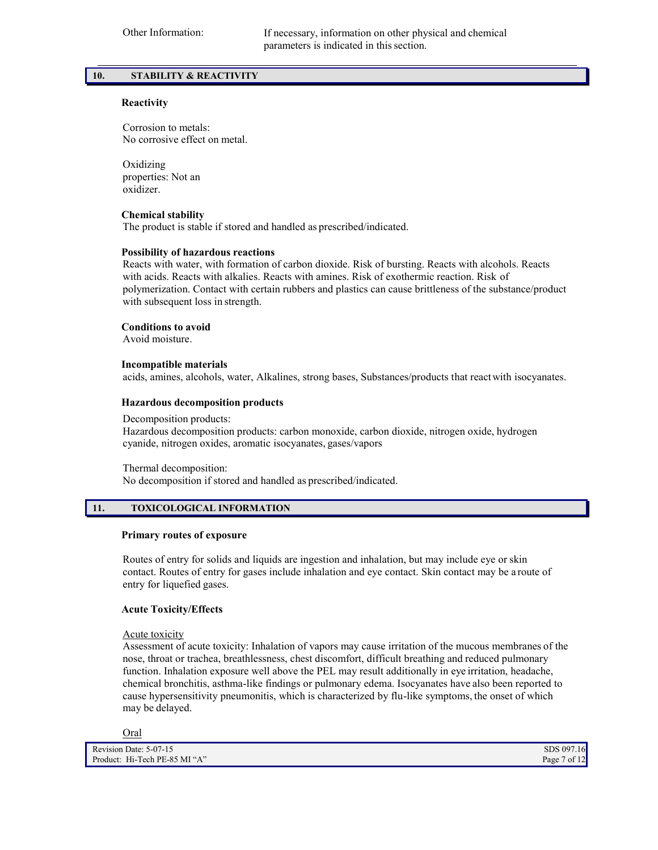# **10. STABILITY & REACTIVITY**

# **Reactivity**

Corrosion to metals: No corrosive effect on metal.

Oxidizing properties: Not an oxidizer.

## **Chemical stability**

The product is stable if stored and handled as prescribed/indicated.

## **Possibility of hazardous reactions**

Reacts with water, with formation of carbon dioxide. Risk of bursting. Reacts with alcohols. Reacts with acids. Reacts with alkalies. Reacts with amines. Risk of exothermic reaction. Risk of polymerization. Contact with certain rubbers and plastics can cause brittleness of the substance/product with subsequent loss in strength.

## **Conditions to avoid**

Avoid moisture.

## **Incompatible materials**

acids, amines, alcohols, water, Alkalines, strong bases, Substances/products that react with isocyanates.

## **Hazardous decomposition products**

Decomposition products: Hazardous decomposition products: carbon monoxide, carbon dioxide, nitrogen oxide, hydrogen cyanide, nitrogen oxides, aromatic isocyanates, gases/vapors

Thermal decomposition: No decomposition if stored and handled as prescribed/indicated.

# **11. TOXICOLOGICAL INFORMATION**

## **Primary routes of exposure**

Routes of entry for solids and liquids are ingestion and inhalation, but may include eye or skin contact. Routes of entry for gases include inhalation and eye contact. Skin contact may be a route of entry for liquefied gases.

# **Acute Toxicity/Effects**

Acute toxicity

Assessment of acute toxicity: Inhalation of vapors may cause irritation of the mucous membranes of the nose, throat or trachea, breathlessness, chest discomfort, difficult breathing and reduced pulmonary function. Inhalation exposure well above the PEL may result additionally in eye irritation, headache, chemical bronchitis, asthma-like findings or pulmonary edema. Isocyanates have also been reported to cause hypersensitivity pneumonitis, which is characterized by flu-like symptoms, the onset of which may be delayed.

Oral

| Revision Date: 5-07-15        | SDS 097.16       |
|-------------------------------|------------------|
| Product: Hi-Tech PE-85 MI "A" | Page $7$ of $12$ |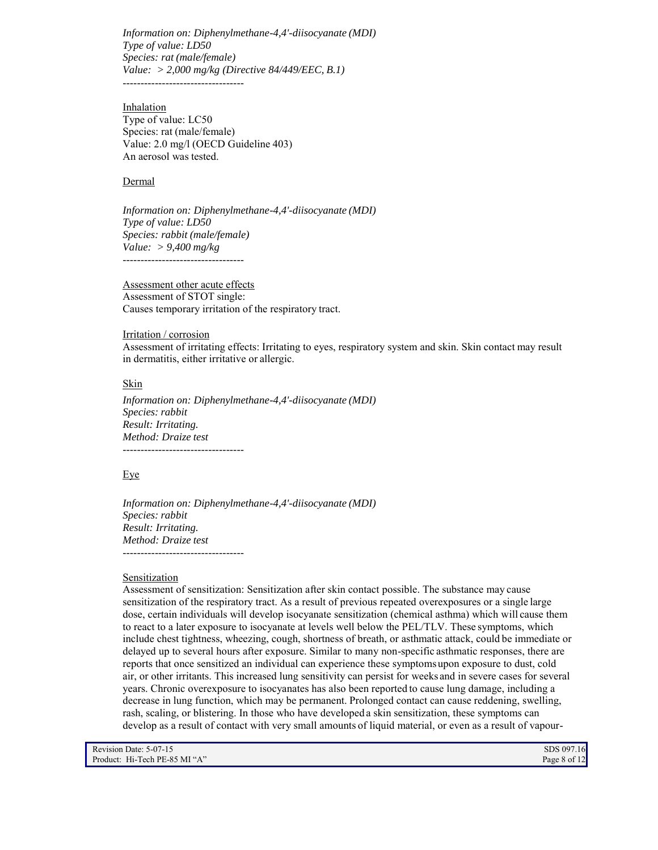*Information on: Diphenylmethane-4,4'-diisocyanate (MDI) Type of value: LD50 Species: rat (male/female) Value: > 2,000 mg/kg (Directive 84/449/EEC, B.1)* ----------------------------------

Inhalation Type of value: LC50 Species: rat (male/female) Value: 2.0 mg/l (OECD Guideline 403) An aerosol was tested.

## Dermal

*Information on: Diphenylmethane-4,4'-diisocyanate (MDI) Type of value: LD50 Species: rabbit (male/female) Value: > 9,400 mg/kg* ----------------------------------

Assessment other acute effects Assessment of STOT single: Causes temporary irritation of the respiratory tract.

#### Irritation / corrosion

Assessment of irritating effects: Irritating to eyes, respiratory system and skin. Skin contact may result in dermatitis, either irritative or allergic.

#### **Skin**

*Information on: Diphenylmethane-4,4'-diisocyanate (MDI) Species: rabbit Result: Irritating. Method: Draize test* ----------------------------------

### Eye

*Information on: Diphenylmethane-4,4'-diisocyanate (MDI) Species: rabbit Result: Irritating. Method: Draize test* ----------------------------------

## **Sensitization**

Assessment of sensitization: Sensitization after skin contact possible. The substance may cause sensitization of the respiratory tract. As a result of previous repeated overexposures or a single large dose, certain individuals will develop isocyanate sensitization (chemical asthma) which will cause them to react to a later exposure to isocyanate at levels well below the PEL/TLV. These symptoms, which include chest tightness, wheezing, cough, shortness of breath, or asthmatic attack, could be immediate or delayed up to several hours after exposure. Similar to many non-specific asthmatic responses, there are reports that once sensitized an individual can experience these symptoms upon exposure to dust, cold air, or other irritants. This increased lung sensitivity can persist for weeks and in severe cases for several years. Chronic overexposure to isocyanates has also been reported to cause lung damage, including a decrease in lung function, which may be permanent. Prolonged contact can cause reddening, swelling, rash, scaling, or blistering. In those who have developed a skin sensitization, these symptoms can develop as a result of contact with very small amounts of liquid material, or even as a result of vapour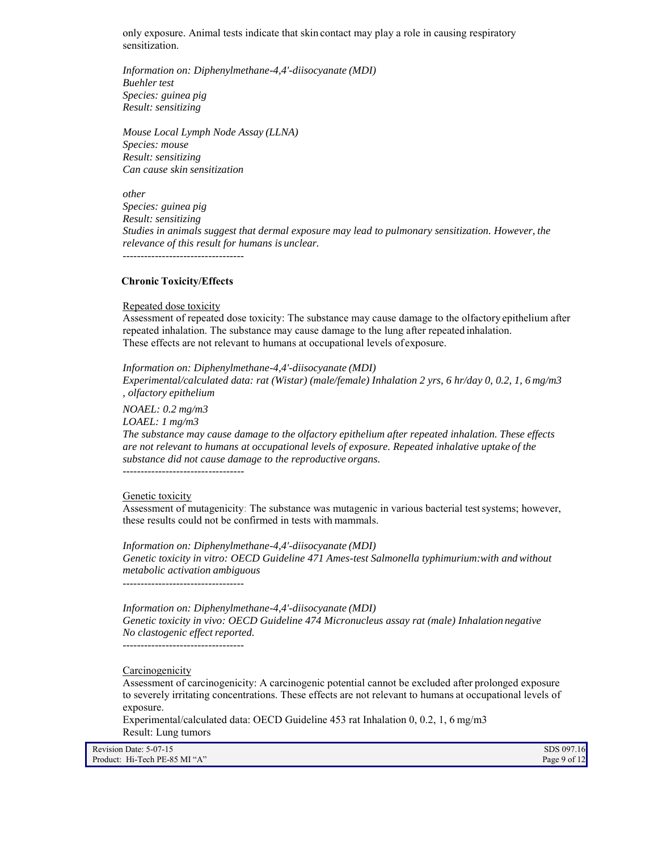only exposure. Animal tests indicate that skin contact may play a role in causing respiratory sensitization.

*Information on: Diphenylmethane-4,4'-diisocyanate (MDI) Buehler test Species: guinea pig Result: sensitizing*

*Mouse Local Lymph Node Assay (LLNA) Species: mouse Result: sensitizing Can cause skin sensitization*

*other*

*Species: guinea pig Result: sensitizing Studies in animals suggest that dermal exposure may lead to pulmonary sensitization. However, the relevance of this result for humans is unclear.* ----------------------------------

## **Chronic Toxicity/Effects**

#### Repeated dose toxicity

Assessment of repeated dose toxicity: The substance may cause damage to the olfactory epithelium after repeated inhalation. The substance may cause damage to the lung after repeated inhalation. These effects are not relevant to humans at occupational levels of exposure.

*Information on: Diphenylmethane-4,4'-diisocyanate (MDI) Experimental/calculated data: rat (Wistar) (male/female) Inhalation 2 yrs, 6 hr/day 0, 0.2, 1, 6 mg/m3 , olfactory epithelium*

*NOAEL: 0.2 mg/m3 LOAEL: 1 mg/m3*

*The substance may cause damage to the olfactory epithelium after repeated inhalation. These effects are not relevant to humans at occupational levels of exposure. Repeated inhalative uptake of the substance did not cause damage to the reproductive organs.*

----------------------------------

#### Genetic toxicity

Assessment of mutagenicity: The substance was mutagenic in various bacterial test systems; however, these results could not be confirmed in tests with mammals.

*Information on: Diphenylmethane-4,4'-diisocyanate (MDI) Genetic toxicity in vitro: OECD Guideline 471 Ames-test Salmonella typhimurium:with and without metabolic activation ambiguous*

----------------------------------

*Information on: Diphenylmethane-4,4'-diisocyanate (MDI) Genetic toxicity in vivo: OECD Guideline 474 Micronucleus assay rat (male) Inhalation negative No clastogenic effect reported.*

----------------------------------

**Carcinogenicity** 

Assessment of carcinogenicity: A carcinogenic potential cannot be excluded after prolonged exposure to severely irritating concentrations. These effects are not relevant to humans at occupational levels of exposure.

Experimental/calculated data: OECD Guideline 453 rat Inhalation 0, 0.2, 1, 6 mg/m3 Result: Lung tumors

Revision Date: 5-07-15 SDS 097.16<br>Product: Hi-Tech PE-85 MI "A" Page 9 of 12 Product: Hi-Tech PE-85 MI "A"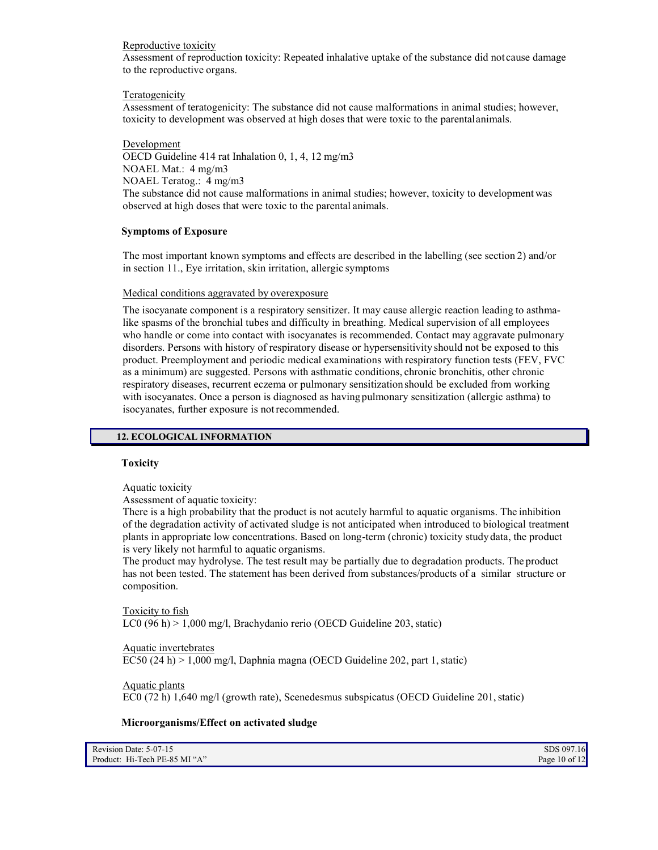# Reproductive toxicity

Assessment of reproduction toxicity: Repeated inhalative uptake of the substance did not cause damage to the reproductive organs.

# **Teratogenicity**

Assessment of teratogenicity: The substance did not cause malformations in animal studies; however, toxicity to development was observed at high doses that were toxic to the parental animals.

Development OECD Guideline 414 rat Inhalation 0, 1, 4, 12 mg/m3 NOAEL Mat.: 4 mg/m3 NOAEL Teratog.: 4 mg/m3 The substance did not cause malformations in animal studies; however, toxicity to development was observed at high doses that were toxic to the parental animals.

# **Symptoms of Exposure**

The most important known symptoms and effects are described in the labelling (see section 2) and/or in section 11., Eye irritation, skin irritation, allergic symptoms

# Medical conditions aggravated by overexposure

The isocyanate component is a respiratory sensitizer. It may cause allergic reaction leading to asthmalike spasms of the bronchial tubes and difficulty in breathing. Medical supervision of all employees who handle or come into contact with isocyanates is recommended. Contact may aggravate pulmonary disorders. Persons with history of respiratory disease or hypersensitivity should not be exposed to this product. Preemployment and periodic medical examinations with respiratory function tests (FEV, FVC as a minimum) are suggested. Persons with asthmatic conditions, chronic bronchitis, other chronic respiratory diseases, recurrent eczema or pulmonary sensitization should be excluded from working with isocyanates. Once a person is diagnosed as having pulmonary sensitization (allergic asthma) to isocyanates, further exposure is not recommended.

# **12. ECOLOGICAL INFORMATION**

# **Toxicity**

Aquatic toxicity

Assessment of aquatic toxicity:

There is a high probability that the product is not acutely harmful to aquatic organisms. The inhibition of the degradation activity of activated sludge is not anticipated when introduced to biological treatment plants in appropriate low concentrations. Based on long-term (chronic) toxicity study data, the product is very likely not harmful to aquatic organisms.

The product may hydrolyse. The test result may be partially due to degradation products. The product has not been tested. The statement has been derived from substances/products of a similar structure or composition.

Toxicity to fish LC0 (96 h) > 1,000 mg/l, Brachydanio rerio (OECD Guideline 203, static)

# Aquatic invertebrates

EC50 (24 h) > 1,000 mg/l, Daphnia magna (OECD Guideline 202, part 1, static)

# Aquatic plants

EC0 (72 h) 1,640 mg/l (growth rate), Scenedesmus subspicatus (OECD Guideline 201, static)

# **Microorganisms/Effect on activated sludge**

| Revision Date: 5-07-15        | SDS 097.16      |
|-------------------------------|-----------------|
| Product: Hi-Tech PE-85 MI "A" | Page 10 of $12$ |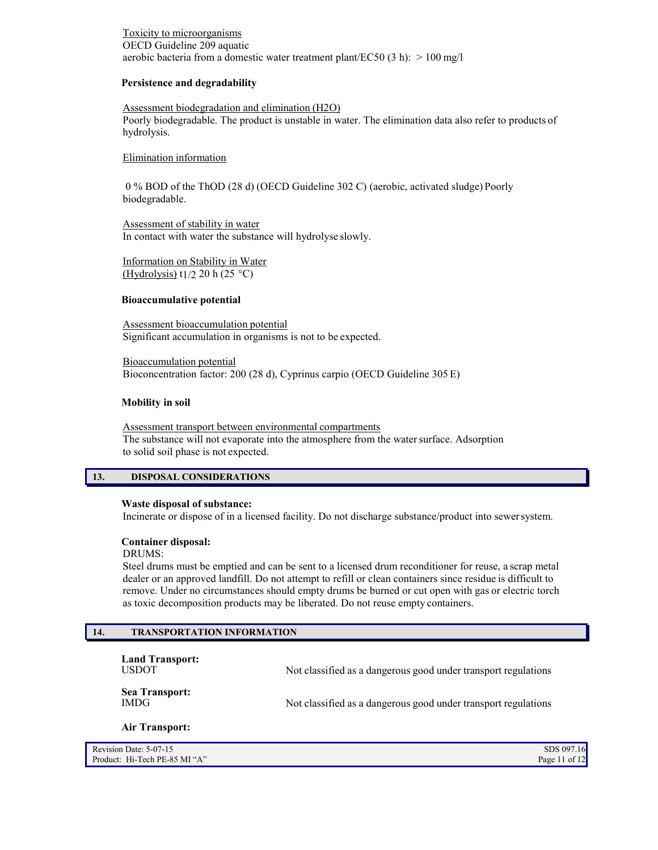# Toxicity to microorganisms OECD Guideline 209 aquatic aerobic bacteria from a domestic water treatment plant/EC50 (3 h):  $> 100$  mg/l

# **Persistence and degradability**

## Assessment biodegradation and elimination (H2O)

Poorly biodegradable. The product is unstable in water. The elimination data also refer to products of hydrolysis.

## Elimination information

0 % BOD of the ThOD (28 d) (OECD Guideline 302 C) (aerobic, activated sludge) Poorly biodegradable.

Assessment of stability in water In contact with water the substance will hydrolyse slowly.

Information on Stability in Water (Hydrolysis) t<sub>1</sub>/2 20 h (25 °C)

## **Bioaccumulative potential**

Assessment bioaccumulation potential Significant accumulation in organisms is not to be expected.

Bioaccumulation potential Bioconcentration factor: 200 (28 d), Cyprinus carpio (OECD Guideline 305 E)

#### **Mobility in soil**

Assessment transport between environmental compartments The substance will not evaporate into the atmosphere from the water surface. Adsorption to solid soil phase is not expected.

# **13. DISPOSAL CONSIDERATIONS**

### **Waste disposal of substance:**

Incinerate or dispose of in a licensed facility. Do not discharge substance/product into sewer system.

### **Container disposal:**

DRUMS:

Steel drums must be emptied and can be sent to a licensed drum reconditioner for reuse, a scrap metal dealer or an approved landfill. Do not attempt to refill or clean containers since residue is difficult to remove. Under no circumstances should empty drums be burned or cut open with gas or electric torch as toxic decomposition products may be liberated. Do not reuse empty containers.

# **14. TRANSPORTATION INFORMATION**

**Land Transport:**

Not classified as a dangerous good under transport regulations

**Sea Transport:**

Not classified as a dangerous good under transport regulations

#### **Air Transport:**

| Revision Date: 5-07-15        | SDS 097.16      |
|-------------------------------|-----------------|
| Product: Hi-Tech PE-85 MI "A" | Page 11 of $12$ |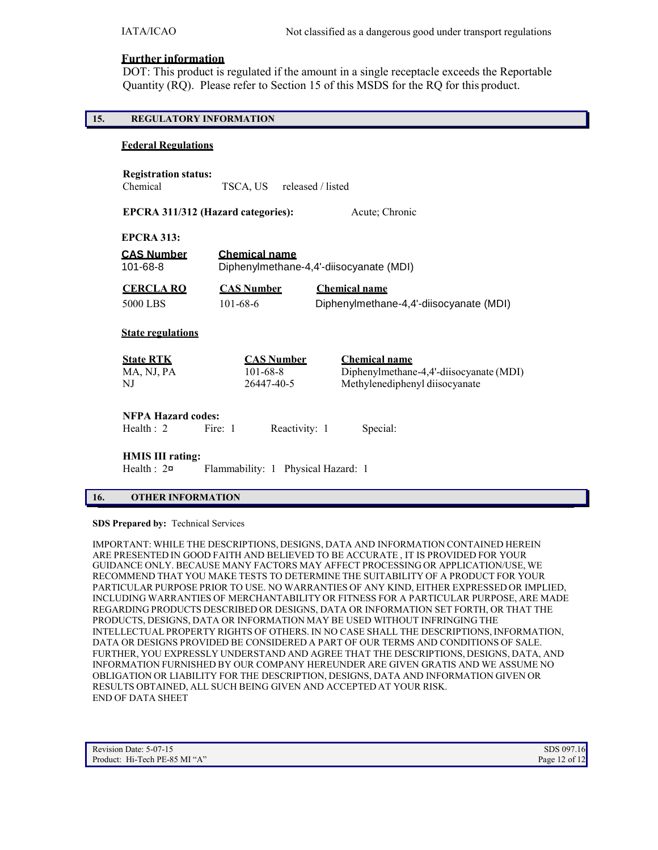# **Further information**

DOT: This product is regulated if the amount in a single receptacle exceeds the Reportable Quantity (RQ). Please refer to Section 15 of this MSDS for the RQ for this product.

# **15. REGULATORY INFORMATION**

# **Federal Regulations**

| <b>Registration status:</b> |          |                   |
|-----------------------------|----------|-------------------|
| Chemical                    | TSCA, US | released / listed |
|                             |          |                   |

|                                              | EPCRA 311/312 (Hazard categories): | Acute; Chronic                          |
|----------------------------------------------|------------------------------------|-----------------------------------------|
| <b>EPCRA 313:</b>                            |                                    |                                         |
| <b>CAS Number</b>                            | <b>Chemical name</b>               |                                         |
| 101-68-8                                     |                                    | Diphenylmethane-4,4'-diisocyanate (MDI) |
| <b>CERCLA RO</b>                             | <b>CAS Number</b>                  | <b>Chemical name</b>                    |
| 5000 LBS                                     | $101 - 68 - 6$                     | Diphenylmethane-4,4'-diisocyanate (MDI) |
| <b>State regulations</b><br><b>State RTK</b> | <b>CAS Number</b>                  | <b>Chemical name</b>                    |
| MA, NJ, PA                                   | $101 - 68 - 8$                     | Diphenylmethane-4,4'-diisocyanate (MDI) |
| NJ                                           | 26447-40-5                         | Methylenediphenyl diisocyanate          |
| <b>NFPA Hazard codes:</b>                    |                                    |                                         |
| Health $: 2$                                 | Fire: 1                            | Special:<br>Reactivity: 1               |

**HMIS III rating:** 

Health : 2¤ Flammability: 1 Physical Hazard: 1

# **16. OTHER INFORMATION**

**SDS Prepared by:** Technical Services

IMPORTANT: WHILE THE DESCRIPTIONS, DESIGNS, DATA AND INFORMATION CONTAINED HEREIN ARE PRESENTED IN GOOD FAITH AND BELIEVED TO BE ACCURATE , IT IS PROVIDED FOR YOUR GUIDANCE ONLY. BECAUSE MANY FACTORS MAY AFFECT PROCESSING OR APPLICATION/USE, WE RECOMMEND THAT YOU MAKE TESTS TO DETERMINE THE SUITABILITY OF A PRODUCT FOR YOUR PARTICULAR PURPOSE PRIOR TO USE. NO WARRANTIES OF ANY KIND, EITHER EXPRESSED OR IMPLIED, INCLUDING WARRANTIES OF MERCHANTABILITY OR FITNESS FOR A PARTICULAR PURPOSE, ARE MADE REGARDING PRODUCTS DESCRIBED OR DESIGNS, DATA OR INFORMATION SET FORTH, OR THAT THE PRODUCTS, DESIGNS, DATA OR INFORMATION MAY BE USED WITHOUT INFRINGING THE INTELLECTUAL PROPERTY RIGHTS OF OTHERS. IN NO CASE SHALL THE DESCRIPTIONS, INFORMATION, DATA OR DESIGNS PROVIDED BE CONSIDERED A PART OF OUR TERMS AND CONDITIONS OF SALE. FURTHER, YOU EXPRESSLY UNDERSTAND AND AGREE THAT THE DESCRIPTIONS, DESIGNS, DATA, AND INFORMATION FURNISHED BY OUR COMPANY HEREUNDER ARE GIVEN GRATIS AND WE ASSUME NO OBLIGATION OR LIABILITY FOR THE DESCRIPTION, DESIGNS, DATA AND INFORMATION GIVEN OR RESULTS OBTAINED, ALL SUCH BEING GIVEN AND ACCEPTED AT YOUR RISK. END OF DATA SHEET

| Revision Date: 5-07-15        | SDS 097.16    |
|-------------------------------|---------------|
| Product: Hi-Tech PE-85 MI "A" | Page 12 of 12 |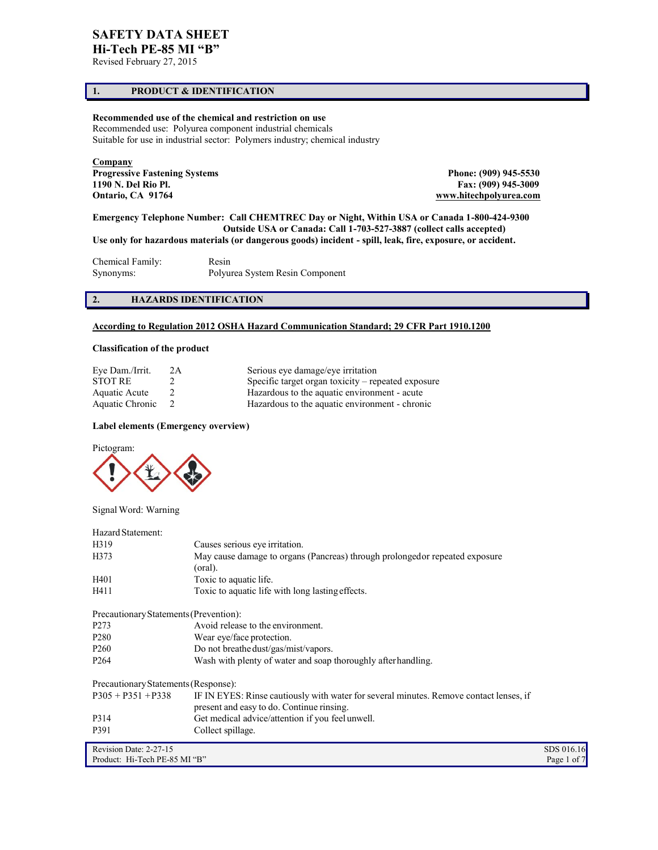# **SAFETY DATA SHEET**

**Hi-Tech PE-85 MI "B"** Revised February 27, 2015

# **1. PRODUCT & IDENTIFICATION**

# **Recommended use of the chemical and restriction on use**

Recommended use: Polyurea component industrial chemicals Suitable for use in industrial sector: Polymers industry; chemical industry

**Company Progressive Fastening Systems Phone: (909) 945-5530<br>
1190 N. Del Rio Pl. Phone: (909) 945-3009<br>
Phone: (909) 945-3009 Ontario, CA 91764 [www.hitechpolyurea.com](http://www.hitechpolyurea.com/)** 

**1190 N. Del Rio Pl. Fax: (909) 945-3009**

**Emergency Telephone Number: Call CHEMTREC Day or Night, Within USA or Canada 1-800-424-9300 Outside USA or Canada: Call 1-703-527-3887 (collect calls accepted) Use only for hazardous materials (or dangerous goods) incident - spill, leak, fire, exposure, or accident.** 

Chemical Family: Resin<br>Synonyms: Polyu Polyurea System Resin Component

# **2. HAZARDS IDENTIFICATION**

# **According to Regulation 2012 OSHA Hazard Communication Standard; 29 CFR Part 1910.1200**

## **Classification of the product**

| Eye Dam./Irrit. | 2A | Serious eye damage/eye irritation                  |
|-----------------|----|----------------------------------------------------|
| <b>STOT RE</b>  |    | Specific target organ toxicity – repeated exposure |
| Aquatic Acute   |    | Hazardous to the aquatic environment - acute       |
| Aquatic Chronic |    | Hazardous to the aquatic environment - chronic     |

## **Label elements (Emergency overview)**



Signal Word: Warning

| Hazard Statement:                      |                                                                                                                                     |             |
|----------------------------------------|-------------------------------------------------------------------------------------------------------------------------------------|-------------|
| H319                                   | Causes serious eye irritation.                                                                                                      |             |
| H373                                   | May cause damage to organs (Pancreas) through prolongedor repeated exposure<br>(oral).                                              |             |
| H401                                   | Toxic to aquatic life.                                                                                                              |             |
| H411                                   | Toxic to aquatic life with long lasting effects.                                                                                    |             |
| Precautionary Statements (Prevention): |                                                                                                                                     |             |
| P <sub>273</sub>                       | Avoid release to the environment.                                                                                                   |             |
| P <sub>280</sub>                       | Wear eye/face protection.                                                                                                           |             |
| P <sub>260</sub>                       | Do not breathe dust/gas/mist/vapors.                                                                                                |             |
| P <sub>264</sub>                       | Wash with plenty of water and soap thoroughly after handling.                                                                       |             |
| Precautionary Statements (Response):   |                                                                                                                                     |             |
| $P305 + P351 + P338$                   | IF IN EYES: Rinse cautiously with water for several minutes. Remove contact lenses, if<br>present and easy to do. Continue rinsing. |             |
| P314                                   | Get medical advice/attention if you feel unwell.                                                                                    |             |
| P391                                   | Collect spillage.                                                                                                                   |             |
| Revision Date: 2-27-15                 |                                                                                                                                     | SDS 016.16  |
| Product: Hi-Tech PE-85 MI "B"          |                                                                                                                                     | Page 1 of 7 |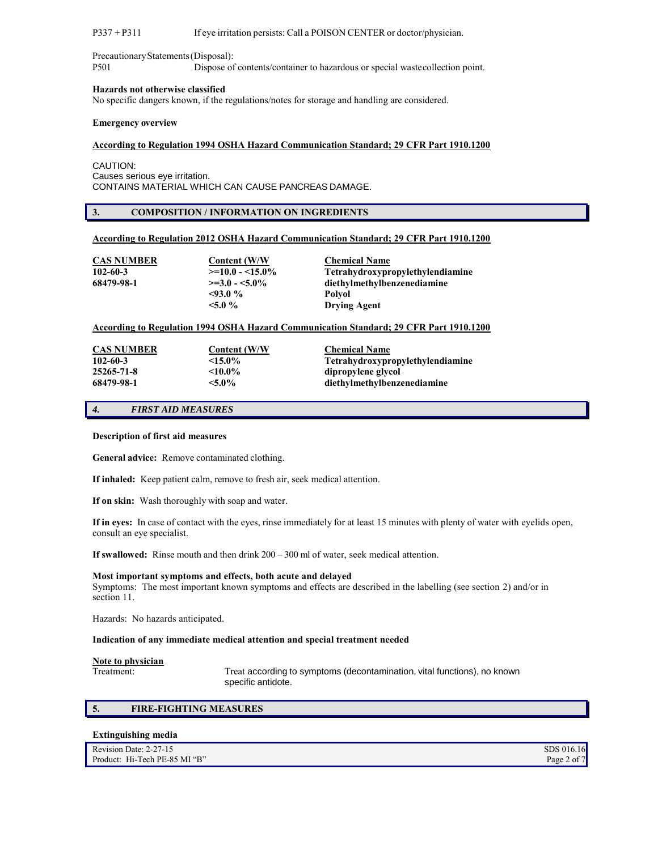#### P337 + P311 If eye irritation persists: Call a POISON CENTER or doctor/physician.

Precautionary Statements (Disposal): P501 Dispose of contents/container to hazardous or special waste collection point.

#### **Hazards not otherwise classified**

No specific dangers known, if the regulations/notes for storage and handling are considered.

#### **Emergency overview**

#### **According to Regulation 1994 OSHA Hazard Communication Standard; 29 CFR Part 1910.1200**

CAUTION: Causes serious eye irritation. CONTAINS MATERIAL WHICH CAN CAUSE PANCREAS DAMAGE.

#### **3. COMPOSITION / INFORMATION ON INGREDIENTS**

#### **According to Regulation 2012 OSHA Hazard Communication Standard; 29 CFR Part 1910.1200**

| CAS NUMBER | Content (W/W)      | <b>Chemical Name</b>                    |
|------------|--------------------|-----------------------------------------|
| 102-60-3   | $>=10.0 - 15.0\%$  | <b>Tetrahydroxypropylethylendiamine</b> |
| 68479-98-1 | $\ge$ =3.0 - <5.0% | diethylmethylbenzenediamine             |
|            | $<93.0\%$          | Polvol                                  |
|            | $< 5.0 \%$         | <b>Drying Agent</b>                     |

#### **According to Regulation 1994 OSHA Hazard Communication Standard; 29 CFR Part 1910.1200**

| <b>CAS NUMBER</b><br>$102 - 60 - 3$ | <b>Content (W/W)</b><br>$\leq 15.0\%$ | <b>Chemical Name</b><br><b>Tetrahydroxypropylethylendiamine</b> |
|-------------------------------------|---------------------------------------|-----------------------------------------------------------------|
| 25265-71-8                          | $<$ 10.0%                             | dipropylene glycol                                              |
| 68479-98-1                          | $< 5.0\%$                             | diethylmethylbenzenediamine                                     |

# *4. FIRST AID MEASURES*

### **Description of first aid measures**

**General advice:** Remove contaminated clothing.

**If inhaled:** Keep patient calm, remove to fresh air, seek medical attention.

**If on skin:** Wash thoroughly with soap and water.

**If in eyes:** In case of contact with the eyes, rinse immediately for at least 15 minutes with plenty of water with eyelids open, consult an eye specialist.

**If swallowed:** Rinse mouth and then drink 200 – 300 ml of water, seek medical attention.

#### **Most important symptoms and effects, both acute and delayed**

Symptoms: The most important known symptoms and effects are described in the labelling (see section 2) and/or in section 11.

Hazards: No hazards anticipated.

#### **Indication of any immediate medical attention and special treatment needed**

# **Note to physician**

Treat according to symptoms (decontamination, vital functions), no known specific antidote.

#### **5. FIRE-FIGHTING MEASURES**

#### **Extinguishing media**

| Revision Date: 2-27-15        | SDS 016.16  |
|-------------------------------|-------------|
| Product: Hi-Tech PE-85 MI "B" | Page 2 of 7 |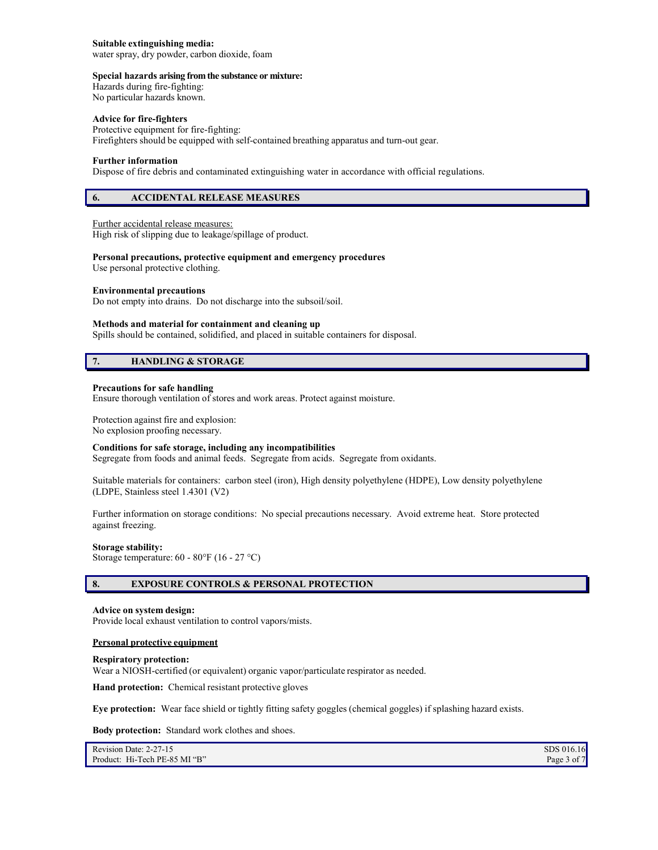#### **Suitable extinguishing media:**

water spray, dry powder, carbon dioxide, foam

#### **Special hazards arising from the substance or mixture:**

Hazards during fire-fighting: No particular hazards known.

#### **Advice for fire-fighters**

Protective equipment for fire-fighting: Firefighters should be equipped with self-contained breathing apparatus and turn-out gear.

#### **Further information**

Dispose of fire debris and contaminated extinguishing water in accordance with official regulations.

## **6. ACCIDENTAL RELEASE MEASURES**

### Further accidental release measures:

High risk of slipping due to leakage/spillage of product.

#### **Personal precautions, protective equipment and emergency procedures**

Use personal protective clothing.

#### **Environmental precautions**

Do not empty into drains. Do not discharge into the subsoil/soil.

#### **Methods and material for containment and cleaning up**

Spills should be contained, solidified, and placed in suitable containers for disposal.

# **7. HANDLING & STORAGE**

#### **Precautions for safe handling**

Ensure thorough ventilation of stores and work areas. Protect against moisture.

Protection against fire and explosion: No explosion proofing necessary.

#### **Conditions for safe storage, including any incompatibilities**

Segregate from foods and animal feeds. Segregate from acids. Segregate from oxidants.

Suitable materials for containers: carbon steel (iron), High density polyethylene (HDPE), Low density polyethylene (LDPE, Stainless steel 1.4301 (V2)

Further information on storage conditions: No special precautions necessary. Avoid extreme heat. Store protected against freezing.

#### **Storage stability:**

Storage temperature: 60 - 80°F (16 - 27 °C)

# **8. EXPOSURE CONTROLS & PERSONAL PROTECTION**

#### **Advice on system design:**

Provide local exhaust ventilation to control vapors/mists.

#### **Personal protective equipment**

#### **Respiratory protection:**

Wear a NIOSH-certified (or equivalent) organic vapor/particulate respirator as needed.

**Hand protection:** Chemical resistant protective gloves

**Eye protection:** Wear face shield or tightly fitting safety goggles (chemical goggles) if splashing hazard exists.

**Body protection:** Standard work clothes and shoes.

| Revision Date: 2-27-15        | SDS 016.16  |
|-------------------------------|-------------|
| Product: Hi-Tech PE-85 MI "B" | Page 3 of 7 |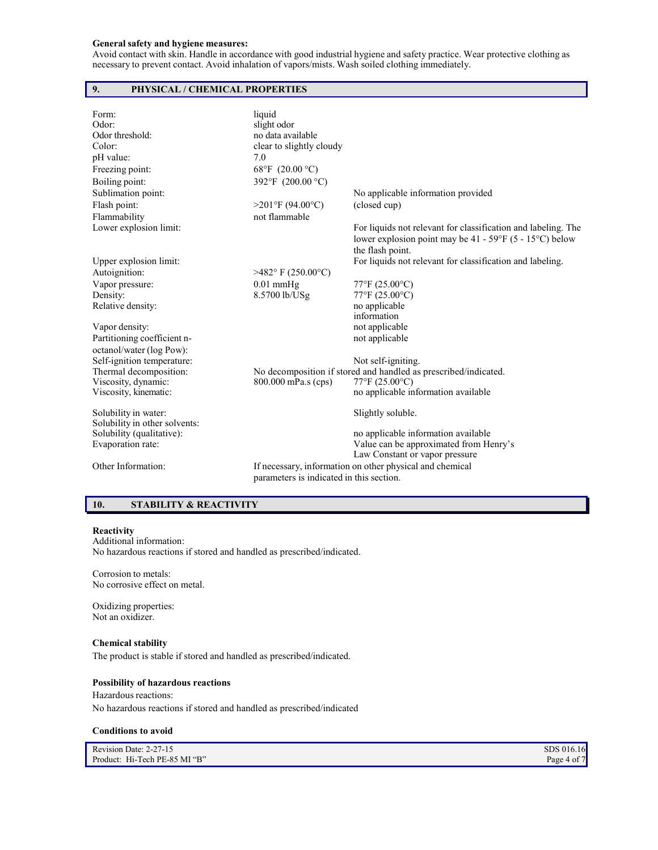## **General safety and hygiene measures:**

Avoid contact with skin. Handle in accordance with good industrial hygiene and safety practice. Wear protective clothing as necessary to prevent contact. Avoid inhalation of vapors/mists. Wash soiled clothing immediately.

# **9. PHYSICAL / CHEMICAL PROPERTIES**

| Form:<br>Odor:<br>Odor threshold:<br>Color:<br>pH value: | liquid<br>slight odor<br>no data available<br>clear to slightly cloudy<br>7.0 |                                                                                                                                                              |
|----------------------------------------------------------|-------------------------------------------------------------------------------|--------------------------------------------------------------------------------------------------------------------------------------------------------------|
| Freezing point:                                          | 68°F (20.00 °C)                                                               |                                                                                                                                                              |
| Boiling point:                                           | 392°F (200.00 °C)                                                             |                                                                                                                                                              |
| Sublimation point:                                       |                                                                               | No applicable information provided                                                                                                                           |
| Flash point:                                             | $>201$ °F (94.00°C)                                                           | (closed cup)                                                                                                                                                 |
| Flammability                                             | not flammable                                                                 |                                                                                                                                                              |
| Lower explosion limit:                                   |                                                                               | For liquids not relevant for classification and labeling. The<br>lower explosion point may be $41 - 59^{\circ}F (5 - 15^{\circ}C)$ below<br>the flash point. |
| Upper explosion limit:                                   |                                                                               | For liquids not relevant for classification and labeling.                                                                                                    |
| Autoignition:                                            | $>482$ °F (250.00°C)                                                          |                                                                                                                                                              |
| Vapor pressure:                                          | $0.01$ mmHg                                                                   | 77°F (25.00°C)                                                                                                                                               |
| Density:                                                 | 8.5700 lb/USg                                                                 | 77°F (25.00°C)                                                                                                                                               |
| Relative density:                                        |                                                                               | no applicable<br>information                                                                                                                                 |
| Vapor density:                                           |                                                                               | not applicable                                                                                                                                               |
| Partitioning coefficient n-<br>octanol/water (log Pow):  |                                                                               | not applicable                                                                                                                                               |
| Self-ignition temperature:                               |                                                                               | Not self-igniting.                                                                                                                                           |
| Thermal decomposition:                                   |                                                                               | No decomposition if stored and handled as prescribed/indicated.                                                                                              |
| Viscosity, dynamic:                                      | 800.000 mPa.s (cps)                                                           | 77°F (25.00°C)                                                                                                                                               |
| Viscosity, kinematic:                                    |                                                                               | no applicable information available                                                                                                                          |
| Solubility in water:<br>Solubility in other solvents:    |                                                                               | Slightly soluble.                                                                                                                                            |
| Solubility (qualitative):                                |                                                                               | no applicable information available                                                                                                                          |
| Evaporation rate:                                        |                                                                               | Value can be approximated from Henry's                                                                                                                       |
|                                                          |                                                                               | Law Constant or vapor pressure                                                                                                                               |
| Other Information:                                       | parameters is indicated in this section.                                      | If necessary, information on other physical and chemical                                                                                                     |
|                                                          |                                                                               |                                                                                                                                                              |

# **10. STABILITY & REACTIVITY**

## **Reactivity**

Additional information: No hazardous reactions if stored and handled as prescribed/indicated.

Corrosion to metals: No corrosive effect on metal.

Oxidizing properties: Not an oxidizer.

# **Chemical stability**

The product is stable if stored and handled as prescribed/indicated.

#### **Possibility of hazardous reactions**

Hazardous reactions: No hazardous reactions if stored and handled as prescribed/indicated

### **Conditions to avoid**

| Revision Date: 2-27-15        | SDS 016.16  |
|-------------------------------|-------------|
| Product: Hi-Tech PE-85 MI "B" | Page 4 of 7 |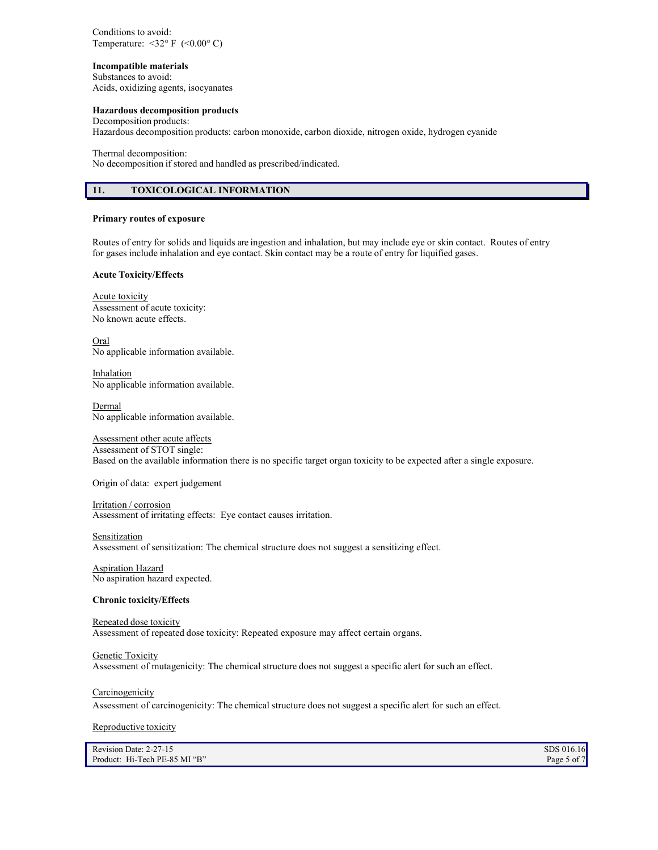Conditions to avoid: Temperature:  $\langle 32^{\circ} \text{F } (\langle 0.00^{\circ} \text{C} )$ 

## **Incompatible materials**

Substances to avoid: Acids, oxidizing agents, isocyanates

#### **Hazardous decomposition products**

Decomposition products:

Hazardous decomposition products: carbon monoxide, carbon dioxide, nitrogen oxide, hydrogen cyanide

Thermal decomposition:

No decomposition if stored and handled as prescribed/indicated.

# **11. TOXICOLOGICAL INFORMATION**

### **Primary routes of exposure**

Routes of entry for solids and liquids are ingestion and inhalation, but may include eye or skin contact. Routes of entry for gases include inhalation and eye contact. Skin contact may be a route of entry for liquified gases.

#### **Acute Toxicity/Effects**

Acute toxicity Assessment of acute toxicity: No known acute effects.

Oral No applicable information available.

Inhalation No applicable information available.

**Dermal** No applicable information available.

# Assessment other acute affects

Assessment of STOT single: Based on the available information there is no specific target organ toxicity to be expected after a single exposure.

Origin of data: expert judgement

Irritation / corrosion Assessment of irritating effects: Eye contact causes irritation.

#### **Sensitization**

Assessment of sensitization: The chemical structure does not suggest a sensitizing effect.

Aspiration Hazard No aspiration hazard expected.

# **Chronic toxicity/Effects**

#### Repeated dose toxicity

Assessment of repeated dose toxicity: Repeated exposure may affect certain organs.

## Genetic Toxicity

Assessment of mutagenicity: The chemical structure does not suggest a specific alert for such an effect.

#### Carcinogenicity

Assessment of carcinogenicity: The chemical structure does not suggest a specific alert for such an effect.

Reproductive toxicity

| Revision Date: 2-27-15        | SDS 016.16  |
|-------------------------------|-------------|
| Product: Hi-Tech PE-85 MI "B" | Page 5 of 7 |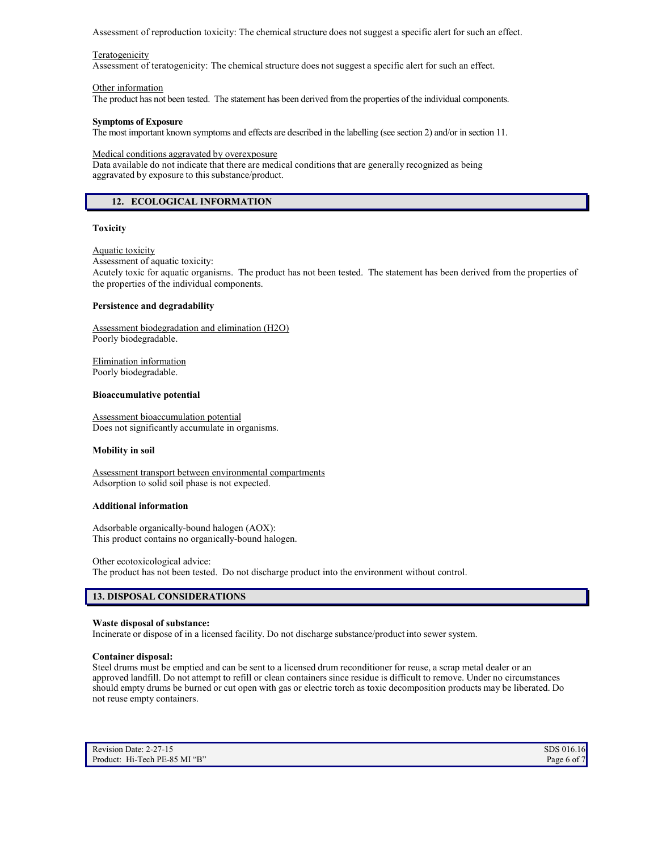Assessment of reproduction toxicity: The chemical structure does not suggest a specific alert for such an effect.

#### Teratogenicity

Assessment of teratogenicity: The chemical structure does not suggest a specific alert for such an effect.

#### Other information

The product has not been tested. The statement has been derived from the properties of the individual components.

#### **Symptoms of Exposure**

The most important known symptoms and effects are described in the labelling (see section 2) and/or in section 11.

Medical conditions aggravated by overexposure

Data available do not indicate that there are medical conditions that are generally recognized as being aggravated by exposure to this substance/product.

# **12. ECOLOGICAL INFORMATION**

#### **Toxicity**

Aquatic toxicity

Assessment of aquatic toxicity:

Acutely toxic for aquatic organisms. The product has not been tested. The statement has been derived from the properties of the properties of the individual components.

### **Persistence and degradability**

Assessment biodegradation and elimination (H2O) Poorly biodegradable.

Elimination information Poorly biodegradable.

#### **Bioaccumulative potential**

Assessment bioaccumulation potential Does not significantly accumulate in organisms.

#### **Mobility in soil**

Assessment transport between environmental compartments Adsorption to solid soil phase is not expected.

#### **Additional information**

Adsorbable organically-bound halogen (AOX): This product contains no organically-bound halogen.

Other ecotoxicological advice:

The product has not been tested. Do not discharge product into the environment without control.

# **13. DISPOSAL CONSIDERATIONS**

#### **Waste disposal of substance:**

Incinerate or dispose of in a licensed facility. Do not discharge substance/product into sewer system.

#### **Container disposal:**

Steel drums must be emptied and can be sent to a licensed drum reconditioner for reuse, a scrap metal dealer or an approved landfill. Do not attempt to refill or clean containers since residue is difficult to remove. Under no circumstances should empty drums be burned or cut open with gas or electric torch as toxic decomposition products may be liberated. Do not reuse empty containers.

| Revision Date: 2-27-15        | SDS 016.16  |
|-------------------------------|-------------|
| Product: Hi-Tech PE-85 MI "B" | Page 6 of 7 |